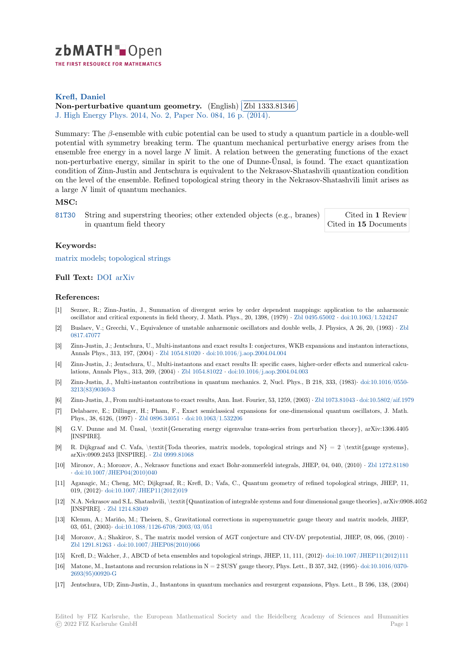

THE FIRST RESOURCE FOR MATHEMATICS

# **Krefl, Daniel**

**[N](https://zbmath.org/)on-perturbative quantum geometry.** (English) *[2bl 1333.81346* ✂ J. High Energy Phys. 2014, No. 2, Paper No. 084, 16 p. (2014). ĺ. ✁

[Summary: The](https://zbmath.org/authors/?q=ai:krefl.daniel) *β*-ensemble with cubic potential can be used to study a quantum particle in a double-well [potential with symmetry breaking term. T](https://zbmath.org/1333.81346)he quantu[m mechanical pert](https://zbmath.org/1333.81346)urbative energy arises from the [ensemble free energy](https://zbmath.org/journals/?q=se:2654) in a novel large *N* [limit. A relation betw](https://zbmath.org/?q=in:354414)een the generating functions of the exact non-perturbative energy, similar in spirit to the one of Dunne-Ünsal, is found. The exact quantization condition of Zinn-Justin and Jentschura is equivalent to the Nekrasov-Shatashvili quantization condition on the level of the ensemble. Refined topological string theory in the Nekrasov-Shatashvili limit arises as a large *N* limit of quantum mechanics.

### **MSC:**

81T30 String and superstring theories; other extended objects (e.g., branes) in quantum field theory Cited in **1** Review Cited in **15** Documents

### **Keywords:**

[matrix](https://zbmath.org/classification/?q=cc:81T30) models; topological strings

## **Full Text:** DOI arXiv

#### **[References:](https://zbmath.org/?q=ut:matrix+models)**

- [1] Seznec, R.; Zinn-Justin, J., Summation of divergent series by order dependent mappings: application to the anharmonic oscillator [and c](https://dx.doi.org/10.1007/JHEP02(2014)084)r[itical ex](https://arxiv.org/abs/1311.0584)ponents in field theory, J. Math. Phys., 20, 1398, (1979) *·* Zbl 0495.65002 *·* doi:10.1063/1.524247
- [2] Buslaev, V.; Grecchi, V., Equivalence of unstable anharmonic oscillators and double wells, J. Physics, A 26, 20, (1993) *·* Zbl 0817.47077
- [3] Zinn-Justin, J.; Jentschura, U., Multi-instantons and exact results I: conjectures, WKB expansions and instanton interactions, Annals Phys., 313, 197, (2004) *·* Zbl 1054.81020 *·* doi:10.1016/j.aop.2004.04.004
- [4] Zinn-Justin, J.; Jentschura, U., Multi-instantons and exact results II: specific cases, higher-order effects and numerical ca[lcu](https://zbmath.org/0817.47077)[lations, An](https://zbmath.org/0817.47077)nals Phys., 313, 269, (2004) *·* Zbl 1054.81022 *·* doi:10.1016/j.aop.2004.04.003
- [5] Zinn-Justin, J., Multi-instanton contributions in quantum mechanics. 2, Nucl. Phys., B 218, 333, (1983)*·* doi:10.1016/0550- 3213(83)90369-3
- [6] Zinn-Justin, J., From multi-instantons to exact results, Ann. Inst. Fourier, 53, 1259, (2003) *·* Zbl 1073.81043 *·* doi:10.5802/aif.1979
- [7] Delabaere, E.; Dillinger, H.; Pham, F., [Exact semiclas](https://zbmath.org/1054.81022)si[cal expansions for one-dimens](https://dx.doi.org/10.1016/j.aop.2004.04.003)ional quantum oscillators, J. Math. Phys., 38, 6126, (1997) *·* Zbl 0896.34051 *·* doi:10.1063/1.532206
- [8] [G.V. Dunne and](https://dx.doi.org/10.1016/0550-3213(83)90369-3) M. Ünsal, \textit{Generating energy eigenvalue trans-series from perturbation theory}, arXiv:1306.4405 [INSPIRE].
- [9] R. Dijkgraaf and C. Vafa, \textit{Toda theories, matrix models, topological strings and  $N = 2 \text{ \texttt{textif}}$  {gauge systems}, arXiv:0909.2453 [INSPIRE]. *·* [Zbl 0999.8](https://zbmath.org/0896.34051)1[068](https://dx.doi.org/10.1063/1.532206)
- [10] Mironov, A.; Morozov, A., Nekrasov functions and exact Bohr-zommerfeld integrals, JHEP, 04, 040, (2010) *·* Zbl 1272.81180 *·* doi:10.1007/JHEP04(2010)040
- [11] Aganagic, M.; Cheng, MC; Dijkgraaf, R.; Krefl, D.; Vafa, C., Quantum geometry of refined topological strings, JHEP, 11, 019, (2012)*·* doi:10.1007/JHE[P11\(2012\)019](https://zbmath.org/0999.81068)
- [12] N.A. Nekrasov and S.L. Shatashvili, \textit{Quantization of integrable systems and four dimensional gauge the[ories}, arXiv:090](https://zbmath.org/1272.81180)8.4052 [INSPIRE]. *·* [Zbl 1214.83049](https://dx.doi.org/10.1007/JHEP04(2010)040)
- [13] Klemm, A.; Mariño, M.; Theisen, S., Gravitational corrections in supersymmetric gauge theory and matrix models, JHEP, 03, 051, (2003)*·* [doi:10.1088/1126-6708/2003](https://dx.doi.org/10.1007/JHEP11(2012)019)/03/051
- [14] Morozov, A.; Shakirov, S., The matrix model version of AGT conjecture and CIV-DV prepotential, JHEP, 08, 066, (2010) *·* Zbl 1291.81263 *·* [doi:10.1007/](https://zbmath.org/1214.83049)JHEP08(2010)066
- [15] Krefl, D.; Walcher, J., ABCD of beta ensembles and topological strings, JHEP, 11, 111, (2012)*·* doi:10.1007/JHEP11(2012)111
- [16] Matone, M., Ins[tantons and recursion relations in N =](https://dx.doi.org/10.1088/1126-6708/2003/03/051) 2 SUSY gauge theory, Phys. Lett., B 357, 342, (1995)*·* doi:10.1016/0370-2693(95)00920-G
- [17] [Jentschura, UD](https://zbmath.org/1291.81263); [Zinn-Justin, J., Instantons in q](https://dx.doi.org/10.1007/JHEP08(2010)066)uantum mechanics and resurgent expansions, Phys. Lett., B 596, 138, (2004)